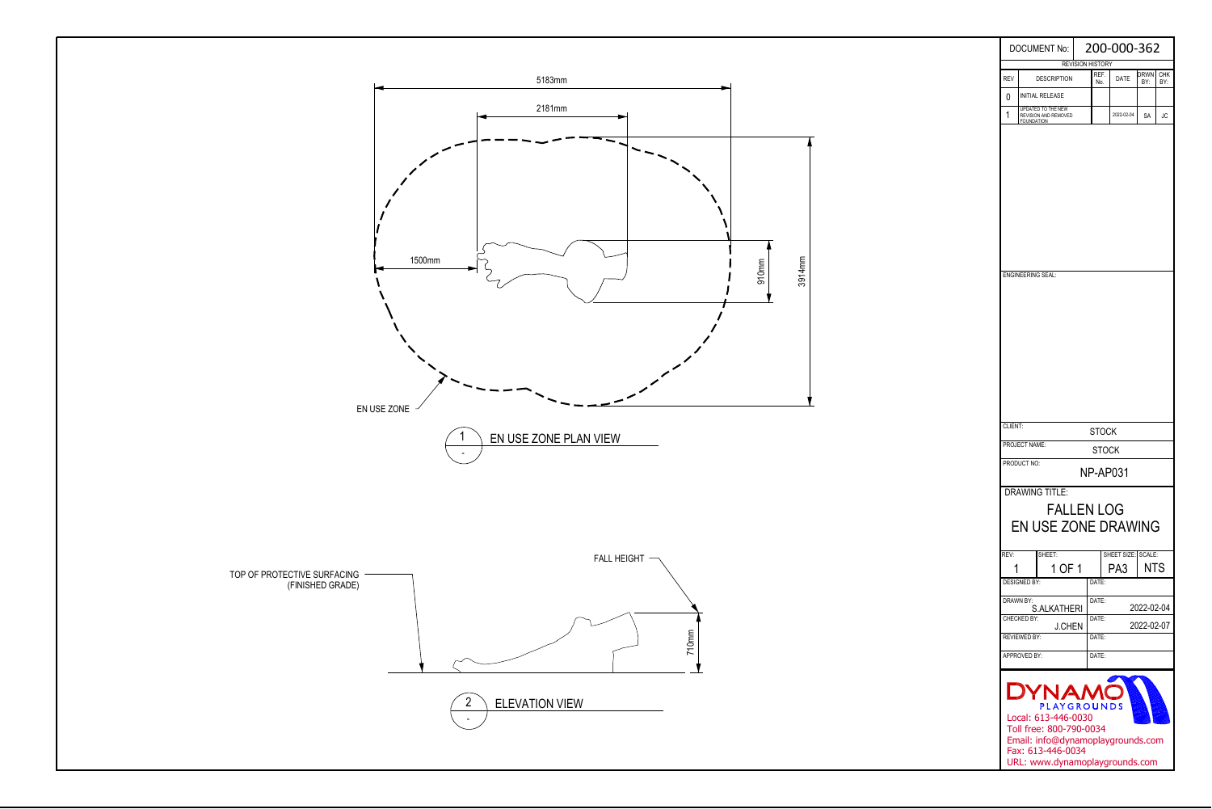

| <b>DOCUMENT No:</b>                                                                                                                                                        |                                                                 |  | 200-000-362             |                    |             |                   |  |  |  |  |  |
|----------------------------------------------------------------------------------------------------------------------------------------------------------------------------|-----------------------------------------------------------------|--|-------------------------|--------------------|-------------|-------------------|--|--|--|--|--|
|                                                                                                                                                                            |                                                                 |  | <b>REVISION HISTORY</b> |                    |             |                   |  |  |  |  |  |
| <b>REV</b>                                                                                                                                                                 | <b>DESCRIPTION</b>                                              |  | REF.<br>No.             | DATE               | drwn<br>BY: | <b>CHK</b><br>BY: |  |  |  |  |  |
| 0                                                                                                                                                                          | INITIAL RELEASE                                                 |  |                         |                    |             |                   |  |  |  |  |  |
| 1                                                                                                                                                                          | UPDATED TO THE NEW<br>REVISION AND REMOVED<br><b>FOUNDATION</b> |  | 2022-02-04              | SA                 | JC          |                   |  |  |  |  |  |
|                                                                                                                                                                            | <b>ENGINEERING SEAL:</b>                                        |  |                         |                    |             |                   |  |  |  |  |  |
| CLIENT:                                                                                                                                                                    |                                                                 |  |                         |                    |             |                   |  |  |  |  |  |
|                                                                                                                                                                            | <b>STOCK</b><br>PROJECT NAME:                                   |  |                         |                    |             |                   |  |  |  |  |  |
| STOCK<br>PRODUCT NO:<br><b>NP-AP031</b>                                                                                                                                    |                                                                 |  |                         |                    |             |                   |  |  |  |  |  |
| <b>DRAWING TITLE:</b><br><b>FALLEN LOG</b><br><b>EN USE ZONE DRAWING</b>                                                                                                   |                                                                 |  |                         |                    |             |                   |  |  |  |  |  |
| REV:                                                                                                                                                                       | SHEET:                                                          |  |                         | SHEET SIZE: SCALE: |             |                   |  |  |  |  |  |
|                                                                                                                                                                            | 1 OF 1                                                          |  |                         | PA3                | <b>NTS</b>  |                   |  |  |  |  |  |
|                                                                                                                                                                            | <b>DESIGNED BY:</b><br>DRAWN BY:                                |  | DATE:<br>DATE:          |                    |             |                   |  |  |  |  |  |
|                                                                                                                                                                            | S.ALKATHERI<br>CHECKED BY:                                      |  | 2022-02-04<br>DATE:     |                    |             |                   |  |  |  |  |  |
|                                                                                                                                                                            | <b>J.CHEN</b><br><b>REVIEWED BY:</b>                            |  | DATE:                   |                    | 2022-02-07  |                   |  |  |  |  |  |
| APPROVED BY:                                                                                                                                                               |                                                                 |  | DATE:                   |                    |             |                   |  |  |  |  |  |
|                                                                                                                                                                            |                                                                 |  |                         |                    |             |                   |  |  |  |  |  |
| DYNAMC<br><b>PLAYGROUNDS</b><br>Local: 613-446-0030<br>Toll free: 800-790-0034<br>Email: info@dynamoplaygrounds.com<br>Fax: 613-446-0034<br>URL: www.dynamoplaygrounds.com |                                                                 |  |                         |                    |             |                   |  |  |  |  |  |